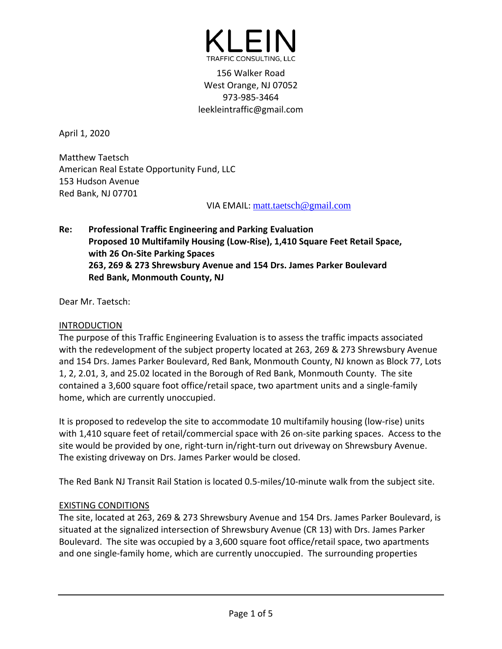

156 Walker Road West Orange, NJ 07052 973-985-3464 leekleintraffic@gmail.com

April 1, 2020

Matthew Taetsch American Real Estate Opportunity Fund, LLC 153 Hudson Avenue Red Bank, NJ 07701

VIA EMAIL: [matt.taetsch@gmail.com](mailto:matt.taetsch@gmail.com)

# **Re: Professional Traffic Engineering and Parking Evaluation Proposed 10 Multifamily Housing (Low-Rise), 1,410 Square Feet Retail Space, with 26 On-Site Parking Spaces 263, 269 & 273 Shrewsbury Avenue and 154 Drs. James Parker Boulevard Red Bank, Monmouth County, NJ**

Dear Mr. Taetsch:

## INTRODUCTION

The purpose of this Traffic Engineering Evaluation is to assess the traffic impacts associated with the redevelopment of the subject property located at 263, 269 & 273 Shrewsbury Avenue and 154 Drs. James Parker Boulevard, Red Bank, Monmouth County, NJ known as Block 77, Lots 1, 2, 2.01, 3, and 25.02 located in the Borough of Red Bank, Monmouth County. The site contained a 3,600 square foot office/retail space, two apartment units and a single-family home, which are currently unoccupied.

It is proposed to redevelop the site to accommodate 10 multifamily housing (low-rise) units with 1,410 square feet of retail/commercial space with 26 on-site parking spaces. Access to the site would be provided by one, right-turn in/right-turn out driveway on Shrewsbury Avenue. The existing driveway on Drs. James Parker would be closed.

The Red Bank NJ Transit Rail Station is located 0.5-miles/10-minute walk from the subject site.

#### EXISTING CONDITIONS

The site, located at 263, 269 & 273 Shrewsbury Avenue and 154 Drs. James Parker Boulevard, is situated at the signalized intersection of Shrewsbury Avenue (CR 13) with Drs. James Parker Boulevard. The site was occupied by a 3,600 square foot office/retail space, two apartments and one single-family home, which are currently unoccupied. The surrounding properties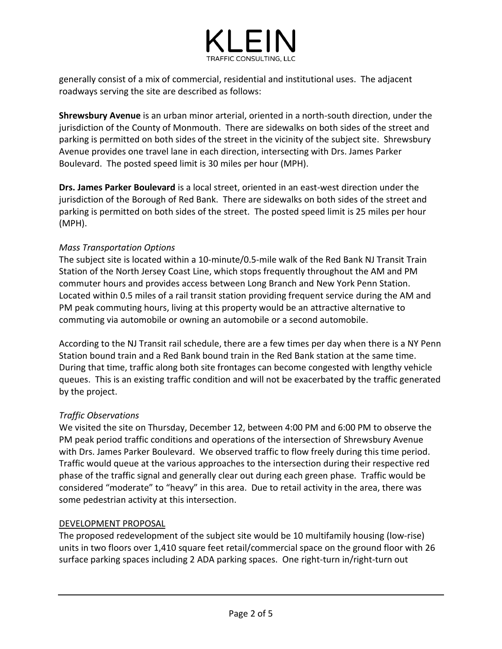

generally consist of a mix of commercial, residential and institutional uses. The adjacent roadways serving the site are described as follows:

**Shrewsbury Avenue** is an urban minor arterial, oriented in a north-south direction, under the jurisdiction of the County of Monmouth. There are sidewalks on both sides of the street and parking is permitted on both sides of the street in the vicinity of the subject site. Shrewsbury Avenue provides one travel lane in each direction, intersecting with Drs. James Parker Boulevard. The posted speed limit is 30 miles per hour (MPH).

**Drs. James Parker Boulevard** is a local street, oriented in an east-west direction under the jurisdiction of the Borough of Red Bank. There are sidewalks on both sides of the street and parking is permitted on both sides of the street. The posted speed limit is 25 miles per hour (MPH).

### *Mass Transportation Options*

The subject site is located within a 10-minute/0.5-mile walk of the Red Bank NJ Transit Train Station of the North Jersey Coast Line, which stops frequently throughout the AM and PM commuter hours and provides access between Long Branch and New York Penn Station. Located within 0.5 miles of a rail transit station providing frequent service during the AM and PM peak commuting hours, living at this property would be an attractive alternative to commuting via automobile or owning an automobile or a second automobile.

According to the NJ Transit rail schedule, there are a few times per day when there is a NY Penn Station bound train and a Red Bank bound train in the Red Bank station at the same time. During that time, traffic along both site frontages can become congested with lengthy vehicle queues. This is an existing traffic condition and will not be exacerbated by the traffic generated by the project.

## *Traffic Observations*

We visited the site on Thursday, December 12, between 4:00 PM and 6:00 PM to observe the PM peak period traffic conditions and operations of the intersection of Shrewsbury Avenue with Drs. James Parker Boulevard. We observed traffic to flow freely during this time period. Traffic would queue at the various approaches to the intersection during their respective red phase of the traffic signal and generally clear out during each green phase. Traffic would be considered "moderate" to "heavy" in this area. Due to retail activity in the area, there was some pedestrian activity at this intersection.

#### DEVELOPMENT PROPOSAL

The proposed redevelopment of the subject site would be 10 multifamily housing (low-rise) units in two floors over 1,410 square feet retail/commercial space on the ground floor with 26 surface parking spaces including 2 ADA parking spaces. One right-turn in/right-turn out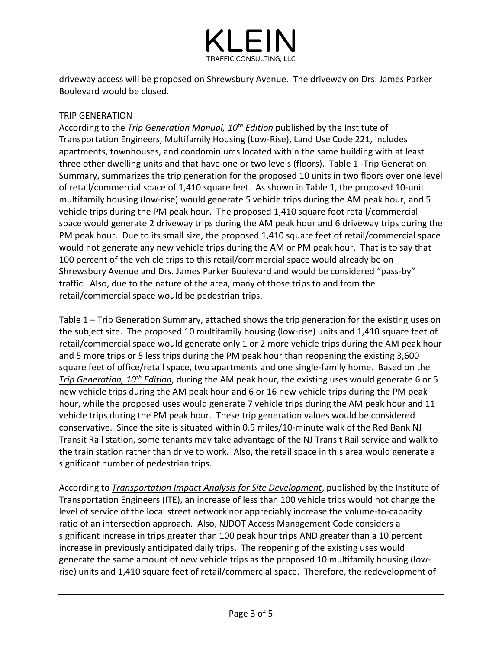

driveway access will be proposed on Shrewsbury Avenue. The driveway on Drs. James Parker Boulevard would be closed.

## TRIP GENERATION

According to the *Trip Generation Manual, 10th Edition* published by the Institute of Transportation Engineers, Multifamily Housing (Low-Rise), Land Use Code 221, includes apartments, townhouses, and condominiums located within the same building with at least three other dwelling units and that have one or two levels (floors). Table 1 -Trip Generation Summary, summarizes the trip generation for the proposed 10 units in two floors over one level of retail/commercial space of 1,410 square feet. As shown in Table 1, the proposed 10-unit multifamily housing (low-rise) would generate 5 vehicle trips during the AM peak hour, and 5 vehicle trips during the PM peak hour. The proposed 1,410 square foot retail/commercial space would generate 2 driveway trips during the AM peak hour and 6 driveway trips during the PM peak hour. Due to its small size, the proposed 1,410 square feet of retail/commercial space would not generate any new vehicle trips during the AM or PM peak hour. That is to say that 100 percent of the vehicle trips to this retail/commercial space would already be on Shrewsbury Avenue and Drs. James Parker Boulevard and would be considered "pass-by" traffic. Also, due to the nature of the area, many of those trips to and from the retail/commercial space would be pedestrian trips.

Table 1 – Trip Generation Summary, attached shows the trip generation for the existing uses on the subject site. The proposed 10 multifamily housing (low-rise) units and 1,410 square feet of retail/commercial space would generate only 1 or 2 more vehicle trips during the AM peak hour and 5 more trips or 5 less trips during the PM peak hour than reopening the existing 3,600 square feet of office/retail space, two apartments and one single-family home. Based on the *Trip Generation, 10th Edition*, during the AM peak hour, the existing uses would generate 6 or 5 new vehicle trips during the AM peak hour and 6 or 16 new vehicle trips during the PM peak hour, while the proposed uses would generate 7 vehicle trips during the AM peak hour and 11 vehicle trips during the PM peak hour. These trip generation values would be considered conservative. Since the site is situated within 0.5 miles/10-minute walk of the Red Bank NJ Transit Rail station, some tenants may take advantage of the NJ Transit Rail service and walk to the train station rather than drive to work. Also, the retail space in this area would generate a significant number of pedestrian trips.

According to *Transportation Impact Analysis for Site Development*, published by the Institute of Transportation Engineers (ITE), an increase of less than 100 vehicle trips would not change the level of service of the local street network nor appreciably increase the volume-to-capacity ratio of an intersection approach. Also, NJDOT Access Management Code considers a significant increase in trips greater than 100 peak hour trips AND greater than a 10 percent increase in previously anticipated daily trips. The reopening of the existing uses would generate the same amount of new vehicle trips as the proposed 10 multifamily housing (lowrise) units and 1,410 square feet of retail/commercial space. Therefore, the redevelopment of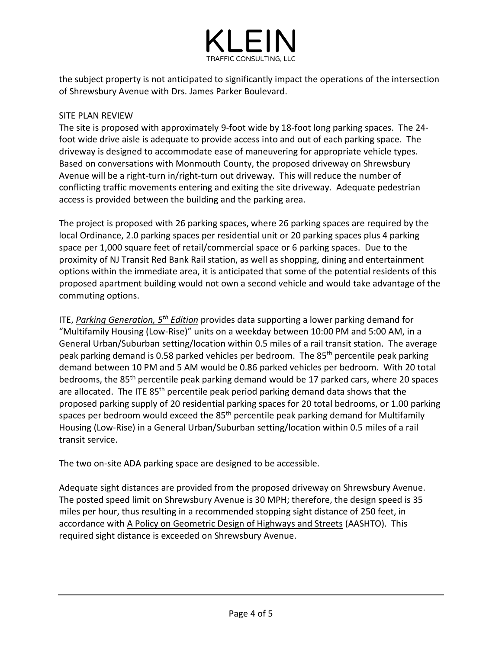

the subject property is not anticipated to significantly impact the operations of the intersection of Shrewsbury Avenue with Drs. James Parker Boulevard.

### SITE PLAN REVIEW

The site is proposed with approximately 9-foot wide by 18-foot long parking spaces. The 24 foot wide drive aisle is adequate to provide access into and out of each parking space. The driveway is designed to accommodate ease of maneuvering for appropriate vehicle types. Based on conversations with Monmouth County, the proposed driveway on Shrewsbury Avenue will be a right-turn in/right-turn out driveway. This will reduce the number of conflicting traffic movements entering and exiting the site driveway. Adequate pedestrian access is provided between the building and the parking area.

The project is proposed with 26 parking spaces, where 26 parking spaces are required by the local Ordinance, 2.0 parking spaces per residential unit or 20 parking spaces plus 4 parking space per 1,000 square feet of retail/commercial space or 6 parking spaces. Due to the proximity of NJ Transit Red Bank Rail station, as well as shopping, dining and entertainment options within the immediate area, it is anticipated that some of the potential residents of this proposed apartment building would not own a second vehicle and would take advantage of the commuting options.

ITE, *Parking Generation, 5 th Edition* provides data supporting a lower parking demand for "Multifamily Housing (Low-Rise)" units on a weekday between 10:00 PM and 5:00 AM, in a General Urban/Suburban setting/location within 0.5 miles of a rail transit station. The average peak parking demand is 0.58 parked vehicles per bedroom. The 85<sup>th</sup> percentile peak parking demand between 10 PM and 5 AM would be 0.86 parked vehicles per bedroom. With 20 total bedrooms, the 85<sup>th</sup> percentile peak parking demand would be 17 parked cars, where 20 spaces are allocated. The ITE 85<sup>th</sup> percentile peak period parking demand data shows that the proposed parking supply of 20 residential parking spaces for 20 total bedrooms, or 1.00 parking spaces per bedroom would exceed the  $85<sup>th</sup>$  percentile peak parking demand for Multifamily Housing (Low-Rise) in a General Urban/Suburban setting/location within 0.5 miles of a rail transit service.

The two on-site ADA parking space are designed to be accessible.

Adequate sight distances are provided from the proposed driveway on Shrewsbury Avenue. The posted speed limit on Shrewsbury Avenue is 30 MPH; therefore, the design speed is 35 miles per hour, thus resulting in a recommended stopping sight distance of 250 feet, in accordance with A Policy on Geometric Design of Highways and Streets (AASHTO). This required sight distance is exceeded on Shrewsbury Avenue.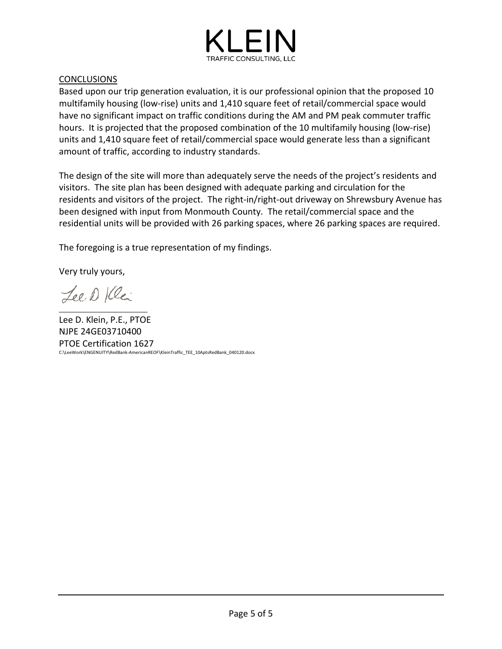

### **CONCLUSIONS**

Based upon our trip generation evaluation, it is our professional opinion that the proposed 10 multifamily housing (low-rise) units and 1,410 square feet of retail/commercial space would have no significant impact on traffic conditions during the AM and PM peak commuter traffic hours. It is projected that the proposed combination of the 10 multifamily housing (low-rise) units and 1,410 square feet of retail/commercial space would generate less than a significant amount of traffic, according to industry standards.

The design of the site will more than adequately serve the needs of the project's residents and visitors. The site plan has been designed with adequate parking and circulation for the residents and visitors of the project. The right-in/right-out driveway on Shrewsbury Avenue has been designed with input from Monmouth County. The retail/commercial space and the residential units will be provided with 26 parking spaces, where 26 parking spaces are required.

The foregoing is a true representation of my findings.

Very truly yours,

Lee D (lei

Lee D. Klein, P.E., PTOE NJPE 24GE03710400 PTOE Certification 1627 C:\LeeWork\ENGENUITY\RedBank-AmericanREOF\KleinTraffic\_TEE\_10AptsRedBank\_040120.docx